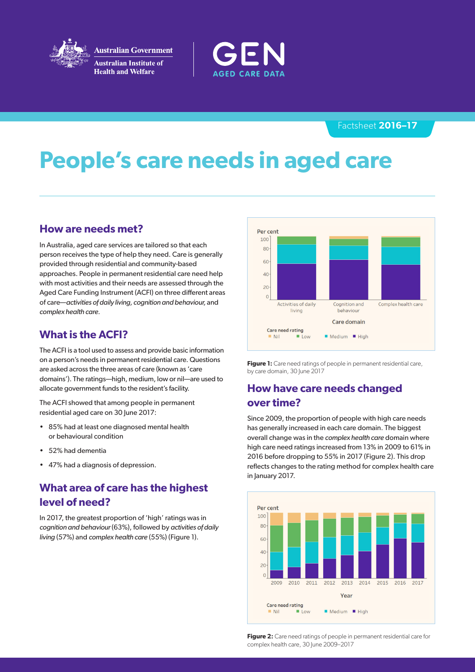

**Australian Government Australian Institute of Health and Welfare** 



### Factsheet **2016–17**

# **People's care needs in aged care**

## **How are needs met?**

In Australia, aged care services are tailored so that each person receives the type of help they need. Care is generally provided through residential and community-based approaches. People in permanent residential care need help with most activities and their needs are assessed through the Aged Care Funding Instrument (ACFI) on three different areas of care—*activities of daily living, cognition and behaviour,* and *complex health care.*

## **What is the ACFI?**

The ACFI is a tool used to assess and provide basic information on a person's needs in permanent residential care. Questions are asked across the three areas of care (known as 'care domains'). The ratings—high, medium, low or nil—are used to allocate government funds to the resident's facility.

The ACFI showed that among people in permanent residential aged care on 30 June 2017:

- 85% had at least one diagnosed mental health or behavioural condition
- 52% had dementia
- 47% had a diagnosis of depression.

## **What area of care has the highest level of need?**

In 2017, the greatest proportion of 'high' ratings was in *cognition and behaviour* (63%), followed by *activities of daily living* (57%) and *complex health care* (55%) (Figure 1).



**Figure 1:** Care need ratings of people in permanent residential care, by care domain, 30 June 2017

## **How have care needs changed over time?**

Since 2009, the proportion of people with high care needs has generally increased in each care domain. The biggest overall change was in the *complex health care* domain where high care need ratings increased from 13% in 2009 to 61% in 2016 before dropping to 55% in 2017 (Figure 2). This drop reflects changes to the rating method for complex health care in January 2017.



**Figure 2:** Care need ratings of people in permanent residential care for complex health care, 30 June 2009–2017